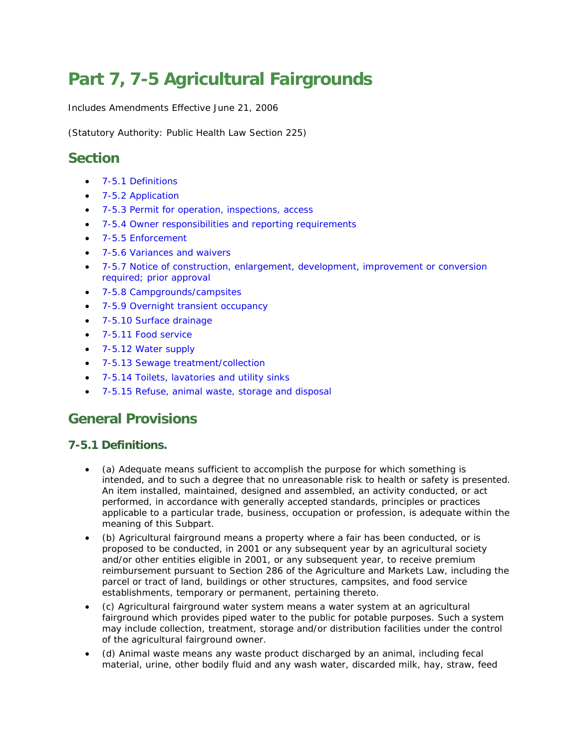# **Part 7, 7-5 Agricultural Fairgrounds**

Includes Amendments Effective June 21, 2006

(Statutory Authority: Public Health Law Section 225)

# **Section**

- [7-5.1 Definitions](http://www.health.ny.gov/regulations/nycrr/title_10/part_7/subpart_7-5.htm#s751)
- [7-5.2 Application](http://www.health.ny.gov/regulations/nycrr/title_10/part_7/subpart_7-5.htm#s752)
- [7-5.3 Permit for operation, inspections, access](http://www.health.ny.gov/regulations/nycrr/title_10/part_7/subpart_7-5.htm#s753)
- [7-5.4 Owner responsibilities and reporting requirements](http://www.health.ny.gov/regulations/nycrr/title_10/part_7/subpart_7-5.htm#s754)
- [7-5.5 Enforcement](http://www.health.ny.gov/regulations/nycrr/title_10/part_7/subpart_7-5.htm#s755)
- [7-5.6 Variances and waivers](http://www.health.ny.gov/regulations/nycrr/title_10/part_7/subpart_7-5.htm#s756)
- [7-5.7 Notice of construction, enlargement, development, improvement or conversion](http://www.health.ny.gov/regulations/nycrr/title_10/part_7/subpart_7-5.htm#s757)  [required; prior approval](http://www.health.ny.gov/regulations/nycrr/title_10/part_7/subpart_7-5.htm#s757)
- [7-5.8 Campgrounds/campsites](http://www.health.ny.gov/regulations/nycrr/title_10/part_7/subpart_7-5.htm#s758)
- [7-5.9 Overnight transient occupancy](http://www.health.ny.gov/regulations/nycrr/title_10/part_7/subpart_7-5.htm#s759)
- [7-5.10 Surface drainage](http://www.health.ny.gov/regulations/nycrr/title_10/part_7/subpart_7-5.htm#s7510)
- [7-5.11 Food service](http://www.health.ny.gov/regulations/nycrr/title_10/part_7/subpart_7-5.htm#s7511)
- [7-5.12 Water supply](http://www.health.ny.gov/regulations/nycrr/title_10/part_7/subpart_7-5.htm#s7512)
- [7-5.13 Sewage treatment/collection](http://www.health.ny.gov/regulations/nycrr/title_10/part_7/subpart_7-5.htm#s7513)
- [7-5.14 Toilets, lavatories and utility sinks](http://www.health.ny.gov/regulations/nycrr/title_10/part_7/subpart_7-5.htm#s7514)
- [7-5.15 Refuse, animal waste, storage and disposal](http://www.health.ny.gov/regulations/nycrr/title_10/part_7/subpart_7-5.htm#s7515)

# **General Provisions**

#### **7-5.1 Definitions.**

- (a) Adequate means sufficient to accomplish the purpose for which something is intended, and to such a degree that no unreasonable risk to health or safety is presented. An item installed, maintained, designed and assembled, an activity conducted, or act performed, in accordance with generally accepted standards, principles or practices applicable to a particular trade, business, occupation or profession, is adequate within the meaning of this Subpart.
- (b) Agricultural fairground means a property where a fair has been conducted, or is proposed to be conducted, in 2001 or any subsequent year by an agricultural society and/or other entities eligible in 2001, or any subsequent year, to receive premium reimbursement pursuant to Section 286 of the Agriculture and Markets Law, including the parcel or tract of land, buildings or other structures, campsites, and food service establishments, temporary or permanent, pertaining thereto.
- (c) Agricultural fairground water system means a water system at an agricultural fairground which provides piped water to the public for potable purposes. Such a system may include collection, treatment, storage and/or distribution facilities under the control of the agricultural fairground owner.
- (d) Animal waste means any waste product discharged by an animal, including fecal material, urine, other bodily fluid and any wash water, discarded milk, hay, straw, feed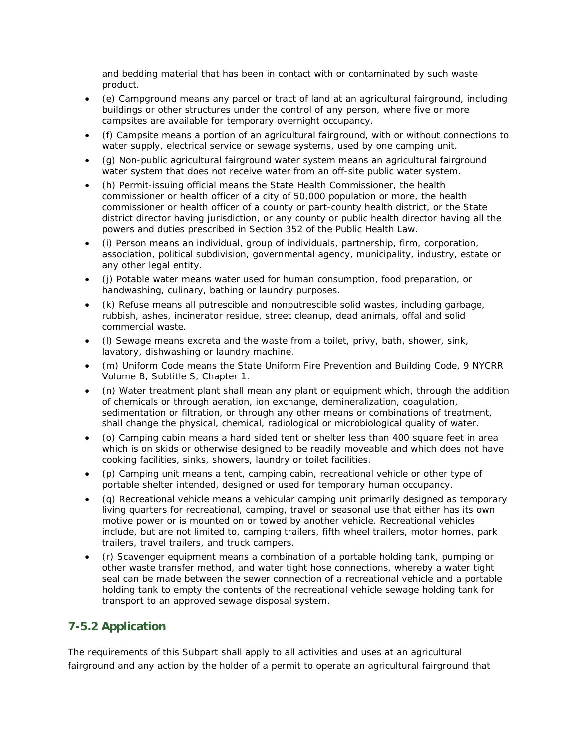and bedding material that has been in contact with or contaminated by such waste product.

- (e) Campground means any parcel or tract of land at an agricultural fairground, including buildings or other structures under the control of any person, where five or more campsites are available for temporary overnight occupancy.
- (f) Campsite means a portion of an agricultural fairground, with or without connections to water supply, electrical service or sewage systems, used by one camping unit.
- (g) Non-public agricultural fairground water system means an agricultural fairground water system that does not receive water from an off-site public water system.
- (h) Permit-issuing official means the State Health Commissioner, the health commissioner or health officer of a city of 50,000 population or more, the health commissioner or health officer of a county or part-county health district, or the State district director having jurisdiction, or any county or public health director having all the powers and duties prescribed in Section 352 of the Public Health Law.
- (i) Person means an individual, group of individuals, partnership, firm, corporation, association, political subdivision, governmental agency, municipality, industry, estate or any other legal entity.
- (j) Potable water means water used for human consumption, food preparation, or handwashing, culinary, bathing or laundry purposes.
- (k) Refuse means all putrescible and nonputrescible solid wastes, including garbage, rubbish, ashes, incinerator residue, street cleanup, dead animals, offal and solid commercial waste.
- (l) Sewage means excreta and the waste from a toilet, privy, bath, shower, sink, lavatory, dishwashing or laundry machine.
- (m) Uniform Code means the State Uniform Fire Prevention and Building Code, 9 NYCRR Volume B, Subtitle S, Chapter 1.
- (n) Water treatment plant shall mean any plant or equipment which, through the addition of chemicals or through aeration, ion exchange, demineralization, coagulation, sedimentation or filtration, or through any other means or combinations of treatment, shall change the physical, chemical, radiological or microbiological quality of water.
- (o) Camping cabin means a hard sided tent or shelter less than 400 square feet in area which is on skids or otherwise designed to be readily moveable and which does not have cooking facilities, sinks, showers, laundry or toilet facilities.
- (p) Camping unit means a tent, camping cabin, recreational vehicle or other type of portable shelter intended, designed or used for temporary human occupancy.
- (q) Recreational vehicle means a vehicular camping unit primarily designed as temporary living quarters for recreational, camping, travel or seasonal use that either has its own motive power or is mounted on or towed by another vehicle. Recreational vehicles include, but are not limited to, camping trailers, fifth wheel trailers, motor homes, park trailers, travel trailers, and truck campers.
- (r) Scavenger equipment means a combination of a portable holding tank, pumping or other waste transfer method, and water tight hose connections, whereby a water tight seal can be made between the sewer connection of a recreational vehicle and a portable holding tank to empty the contents of the recreational vehicle sewage holding tank for transport to an approved sewage disposal system.

## **7-5.2 Application**

The requirements of this Subpart shall apply to all activities and uses at an agricultural fairground and any action by the holder of a permit to operate an agricultural fairground that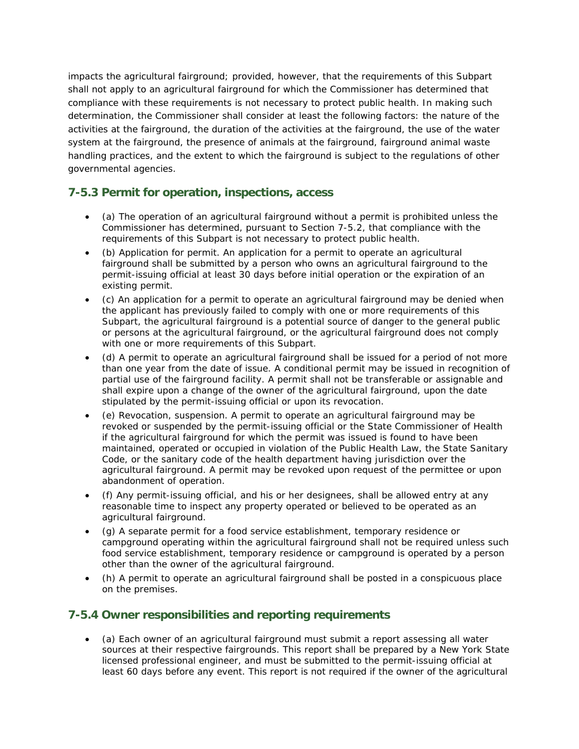impacts the agricultural fairground; provided, however, that the requirements of this Subpart shall not apply to an agricultural fairground for which the Commissioner has determined that compliance with these requirements is not necessary to protect public health. In making such determination, the Commissioner shall consider at least the following factors: the nature of the activities at the fairground, the duration of the activities at the fairground, the use of the water system at the fairground, the presence of animals at the fairground, fairground animal waste handling practices, and the extent to which the fairground is subject to the regulations of other governmental agencies.

#### **7-5.3 Permit for operation, inspections, access**

- (a) The operation of an agricultural fairground without a permit is prohibited unless the Commissioner has determined, pursuant to Section 7-5.2, that compliance with the requirements of this Subpart is not necessary to protect public health.
- (b) Application for permit. An application for a permit to operate an agricultural fairground shall be submitted by a person who owns an agricultural fairground to the permit-issuing official at least 30 days before initial operation or the expiration of an existing permit.
- (c) An application for a permit to operate an agricultural fairground may be denied when the applicant has previously failed to comply with one or more requirements of this Subpart, the agricultural fairground is a potential source of danger to the general public or persons at the agricultural fairground, or the agricultural fairground does not comply with one or more requirements of this Subpart.
- (d) A permit to operate an agricultural fairground shall be issued for a period of not more than one year from the date of issue. A conditional permit may be issued in recognition of partial use of the fairground facility. A permit shall not be transferable or assignable and shall expire upon a change of the owner of the agricultural fairground, upon the date stipulated by the permit-issuing official or upon its revocation.
- (e) Revocation, suspension. A permit to operate an agricultural fairground may be revoked or suspended by the permit-issuing official or the State Commissioner of Health if the agricultural fairground for which the permit was issued is found to have been maintained, operated or occupied in violation of the Public Health Law, the State Sanitary Code, or the sanitary code of the health department having jurisdiction over the agricultural fairground. A permit may be revoked upon request of the permittee or upon abandonment of operation.
- (f) Any permit-issuing official, and his or her designees, shall be allowed entry at any reasonable time to inspect any property operated or believed to be operated as an agricultural fairground.
- (g) A separate permit for a food service establishment, temporary residence or campground operating within the agricultural fairground shall not be required unless such food service establishment, temporary residence or campground is operated by a person other than the owner of the agricultural fairground.
- (h) A permit to operate an agricultural fairground shall be posted in a conspicuous place on the premises.

#### **7-5.4 Owner responsibilities and reporting requirements**

• (a) Each owner of an agricultural fairground must submit a report assessing all water sources at their respective fairgrounds. This report shall be prepared by a New York State licensed professional engineer, and must be submitted to the permit-issuing official at least 60 days before any event. This report is not required if the owner of the agricultural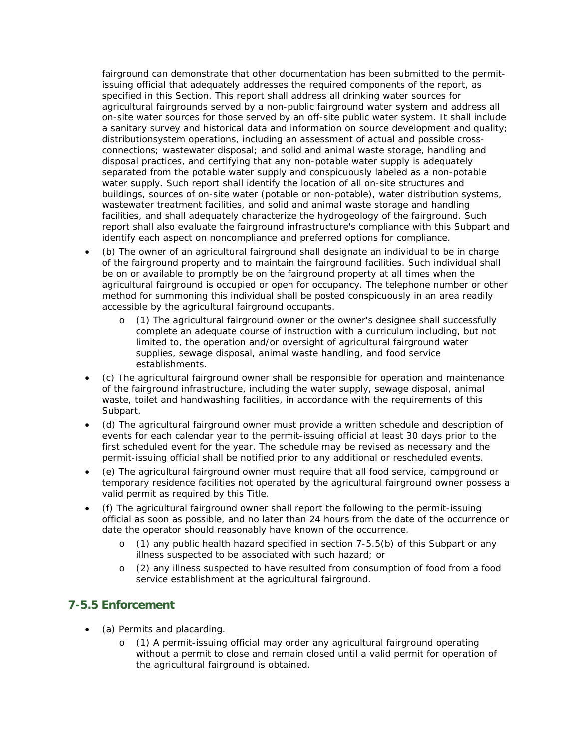fairground can demonstrate that other documentation has been submitted to the permitissuing official that adequately addresses the required components of the report, as specified in this Section. This report shall address all drinking water sources for agricultural fairgrounds served by a non-public fairground water system and address all on-site water sources for those served by an off-site public water system. It shall include a sanitary survey and historical data and information on source development and quality; distributionsystem operations, including an assessment of actual and possible crossconnections; wastewater disposal; and solid and animal waste storage, handling and disposal practices, and certifying that any non-potable water supply is adequately separated from the potable water supply and conspicuously labeled as a non-potable water supply. Such report shall identify the location of all on-site structures and buildings, sources of on-site water (potable or non-potable), water distribution systems, wastewater treatment facilities, and solid and animal waste storage and handling facilities, and shall adequately characterize the hydrogeology of the fairground. Such report shall also evaluate the fairground infrastructure's compliance with this Subpart and identify each aspect on noncompliance and preferred options for compliance.

- (b) The owner of an agricultural fairground shall designate an individual to be in charge of the fairground property and to maintain the fairground facilities. Such individual shall be on or available to promptly be on the fairground property at all times when the agricultural fairground is occupied or open for occupancy. The telephone number or other method for summoning this individual shall be posted conspicuously in an area readily accessible by the agricultural fairground occupants.
	- o (1) The agricultural fairground owner or the owner's designee shall successfully complete an adequate course of instruction with a curriculum including, but not limited to, the operation and/or oversight of agricultural fairground water supplies, sewage disposal, animal waste handling, and food service establishments.
- (c) The agricultural fairground owner shall be responsible for operation and maintenance of the fairground infrastructure, including the water supply, sewage disposal, animal waste, toilet and handwashing facilities, in accordance with the requirements of this Subpart.
- (d) The agricultural fairground owner must provide a written schedule and description of events for each calendar year to the permit-issuing official at least 30 days prior to the first scheduled event for the year. The schedule may be revised as necessary and the permit-issuing official shall be notified prior to any additional or rescheduled events.
- (e) The agricultural fairground owner must require that all food service, campground or temporary residence facilities not operated by the agricultural fairground owner possess a valid permit as required by this Title.
- (f) The agricultural fairground owner shall report the following to the permit-issuing official as soon as possible, and no later than 24 hours from the date of the occurrence or date the operator should reasonably have known of the occurrence.
	- o (1) any public health hazard specified in section 7-5.5(b) of this Subpart or any illness suspected to be associated with such hazard; or
	- o (2) any illness suspected to have resulted from consumption of food from a food service establishment at the agricultural fairground.

#### **7-5.5 Enforcement**

- (a) Permits and placarding.
	- o (1) A permit-issuing official may order any agricultural fairground operating without a permit to close and remain closed until a valid permit for operation of the agricultural fairground is obtained.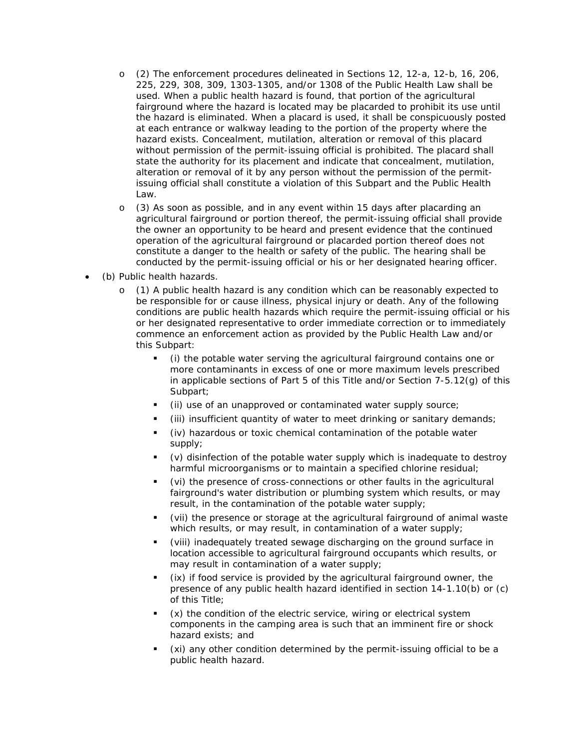- o (2) The enforcement procedures delineated in Sections 12, 12-a, 12-b, 16, 206, 225, 229, 308, 309, 1303-1305, and/or 1308 of the Public Health Law shall be used. When a public health hazard is found, that portion of the agricultural fairground where the hazard is located may be placarded to prohibit its use until the hazard is eliminated. When a placard is used, it shall be conspicuously posted at each entrance or walkway leading to the portion of the property where the hazard exists. Concealment, mutilation, alteration or removal of this placard without permission of the permit-issuing official is prohibited. The placard shall state the authority for its placement and indicate that concealment, mutilation, alteration or removal of it by any person without the permission of the permitissuing official shall constitute a violation of this Subpart and the Public Health Law.
- o (3) As soon as possible, and in any event within 15 days after placarding an agricultural fairground or portion thereof, the permit-issuing official shall provide the owner an opportunity to be heard and present evidence that the continued operation of the agricultural fairground or placarded portion thereof does not constitute a danger to the health or safety of the public. The hearing shall be conducted by the permit-issuing official or his or her designated hearing officer.
- (b) Public health hazards.
	- o (1) A public health hazard is any condition which can be reasonably expected to be responsible for or cause illness, physical injury or death. Any of the following conditions are public health hazards which require the permit-issuing official or his or her designated representative to order immediate correction or to immediately commence an enforcement action as provided by the Public Health Law and/or this Subpart:
		- (i) the potable water serving the agricultural fairground contains one or more contaminants in excess of one or more maximum levels prescribed in applicable sections of Part 5 of this Title and/or Section 7-5.12(g) of this Subpart;
		- (ii) use of an unapproved or contaminated water supply source;
		- (iii) insufficient quantity of water to meet drinking or sanitary demands;
		- (iv) hazardous or toxic chemical contamination of the potable water supply;
		- (v) disinfection of the potable water supply which is inadequate to destroy harmful microorganisms or to maintain a specified chlorine residual;
		- (vi) the presence of cross-connections or other faults in the agricultural fairground's water distribution or plumbing system which results, or may result, in the contamination of the potable water supply;
		- (vii) the presence or storage at the agricultural fairground of animal waste which results, or may result, in contamination of a water supply;
		- (viii) inadequately treated sewage discharging on the ground surface in location accessible to agricultural fairground occupants which results, or may result in contamination of a water supply;
		- (ix) if food service is provided by the agricultural fairground owner, the presence of any public health hazard identified in section 14-1.10(b) or (c) of this Title;
		- (x) the condition of the electric service, wiring or electrical system components in the camping area is such that an imminent fire or shock hazard exists; and
		- (xi) any other condition determined by the permit-issuing official to be a public health hazard.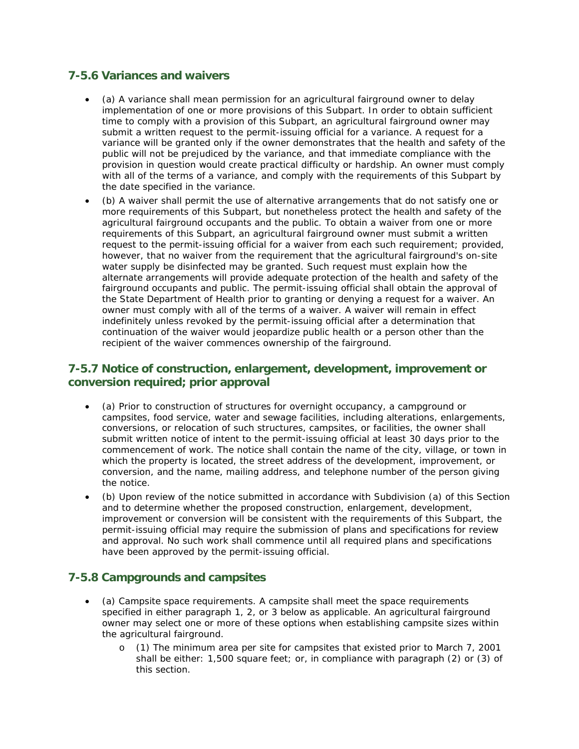#### **7-5.6 Variances and waivers**

- (a) A variance shall mean permission for an agricultural fairground owner to delay implementation of one or more provisions of this Subpart. In order to obtain sufficient time to comply with a provision of this Subpart, an agricultural fairground owner may submit a written request to the permit-issuing official for a variance. A request for a variance will be granted only if the owner demonstrates that the health and safety of the public will not be prejudiced by the variance, and that immediate compliance with the provision in question would create practical difficulty or hardship. An owner must comply with all of the terms of a variance, and comply with the requirements of this Subpart by the date specified in the variance.
- (b) A waiver shall permit the use of alternative arrangements that do not satisfy one or more requirements of this Subpart, but nonetheless protect the health and safety of the agricultural fairground occupants and the public. To obtain a waiver from one or more requirements of this Subpart, an agricultural fairground owner must submit a written request to the permit-issuing official for a waiver from each such requirement; provided, however, that no waiver from the requirement that the agricultural fairground's on-site water supply be disinfected may be granted. Such request must explain how the alternate arrangements will provide adequate protection of the health and safety of the fairground occupants and public. The permit-issuing official shall obtain the approval of the State Department of Health prior to granting or denying a request for a waiver. An owner must comply with all of the terms of a waiver. A waiver will remain in effect indefinitely unless revoked by the permit-issuing official after a determination that continuation of the waiver would jeopardize public health or a person other than the recipient of the waiver commences ownership of the fairground.

#### **7-5.7 Notice of construction, enlargement, development, improvement or conversion required; prior approval**

- (a) Prior to construction of structures for overnight occupancy, a campground or campsites, food service, water and sewage facilities, including alterations, enlargements, conversions, or relocation of such structures, campsites, or facilities, the owner shall submit written notice of intent to the permit-issuing official at least 30 days prior to the commencement of work. The notice shall contain the name of the city, village, or town in which the property is located, the street address of the development, improvement, or conversion, and the name, mailing address, and telephone number of the person giving the notice.
- (b) Upon review of the notice submitted in accordance with Subdivision (a) of this Section and to determine whether the proposed construction, enlargement, development, improvement or conversion will be consistent with the requirements of this Subpart, the permit-issuing official may require the submission of plans and specifications for review and approval. No such work shall commence until all required plans and specifications have been approved by the permit-issuing official.

#### **7-5.8 Campgrounds and campsites**

- (a) Campsite space requirements. A campsite shall meet the space requirements specified in either paragraph 1, 2, or 3 below as applicable. An agricultural fairground owner may select one or more of these options when establishing campsite sizes within the agricultural fairground.
	- o (1) The minimum area per site for campsites that existed prior to March 7, 2001 shall be either: 1,500 square feet; or, in compliance with paragraph (2) or (3) of this section.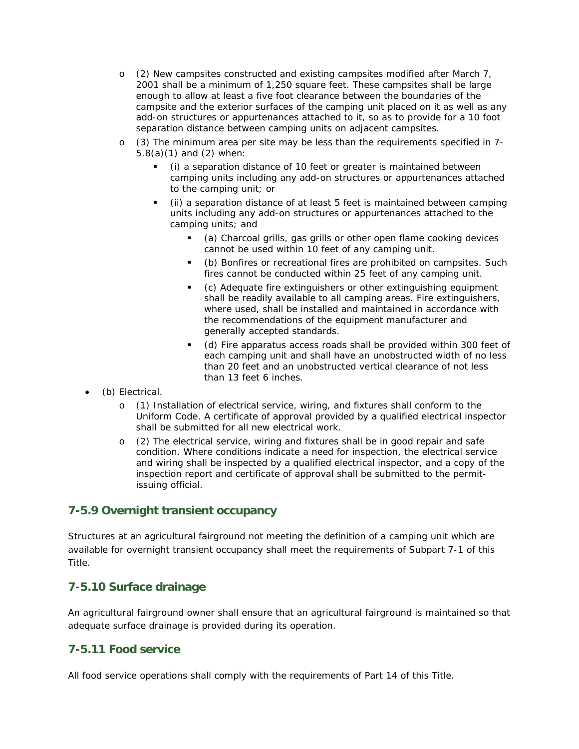- o (2) New campsites constructed and existing campsites modified after March 7, 2001 shall be a minimum of 1,250 square feet. These campsites shall be large enough to allow at least a five foot clearance between the boundaries of the campsite and the exterior surfaces of the camping unit placed on it as well as any add-on structures or appurtenances attached to it, so as to provide for a 10 foot separation distance between camping units on adjacent campsites.
- o (3) The minimum area per site may be less than the requirements specified in 7- 5.8(a)(1) and (2) when:
	- (i) a separation distance of 10 feet or greater is maintained between camping units including any add-on structures or appurtenances attached to the camping unit; or
	- (ii) a separation distance of at least 5 feet is maintained between camping units including any add-on structures or appurtenances attached to the camping units; and
		- *(a)* Charcoal grills, gas grills or other open flame cooking devices cannot be used within 10 feet of any camping unit.
		- *(b)* Bonfires or recreational fires are prohibited on campsites. Such fires cannot be conducted within 25 feet of any camping unit.
		- *(c)* Adequate fire extinguishers or other extinguishing equipment shall be readily available to all camping areas. Fire extinguishers, where used, shall be installed and maintained in accordance with the recommendations of the equipment manufacturer and generally accepted standards.
		- *(d)* Fire apparatus access roads shall be provided within 300 feet of each camping unit and shall have an unobstructed width of no less than 20 feet and an unobstructed vertical clearance of not less than 13 feet 6 inches.
- (b) Electrical.
	- o (1) Installation of electrical service, wiring, and fixtures shall conform to the Uniform Code. A certificate of approval provided by a qualified electrical inspector shall be submitted for all new electrical work.
	- o (2) The electrical service, wiring and fixtures shall be in good repair and safe condition. Where conditions indicate a need for inspection, the electrical service and wiring shall be inspected by a qualified electrical inspector, and a copy of the inspection report and certificate of approval shall be submitted to the permitissuing official.

#### **7-5.9 Overnight transient occupancy**

Structures at an agricultural fairground not meeting the definition of a camping unit which are available for overnight transient occupancy shall meet the requirements of Subpart 7-1 of this Title.

#### **7-5.10 Surface drainage**

An agricultural fairground owner shall ensure that an agricultural fairground is maintained so that adequate surface drainage is provided during its operation.

#### **7-5.11 Food service**

All food service operations shall comply with the requirements of Part 14 of this Title.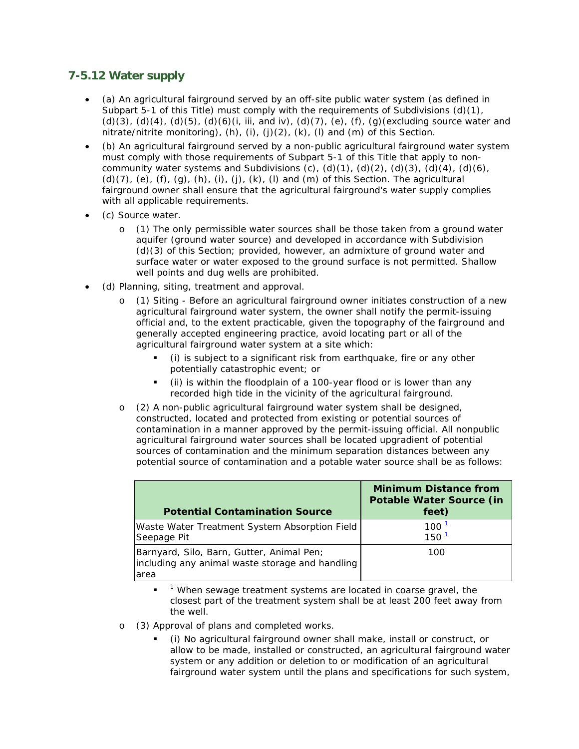### **7-5.12 Water supply**

- (a) An agricultural fairground served by an off-site public water system (as defined in Subpart 5-1 of this Title) must comply with the requirements of Subdivisions  $(d)(1)$ , (d)(3), (d)(4), (d)(5), (d)(6)(i, iii, and iv), (d)(7), (e), (f), (g)(excluding source water and nitrate/nitrite monitoring),  $(h)$ ,  $(i)$ ,  $(j)$ ,  $(2)$ ,  $(k)$ ,  $(l)$  and  $(m)$  of this Section.
- (b) An agricultural fairground served by a non-public agricultural fairground water system must comply with those requirements of Subpart 5-1 of this Title that apply to noncommunity water systems and Subdivisions (c),  $(d)(1)$ ,  $(d)(2)$ ,  $(d)(3)$ ,  $(d)(4)$ ,  $(d)(6)$ , (d)(7), (e), (f), (g), (h), (i), (j), (k), (l) and (m) of this Section. The agricultural fairground owner shall ensure that the agricultural fairground's water supply complies with all applicable requirements.
- (c) Source water.
	- o (1) The only permissible water sources shall be those taken from a ground water aquifer (ground water source) and developed in accordance with Subdivision (d)(3) of this Section; provided, however, an admixture of ground water and surface water or water exposed to the ground surface is not permitted. Shallow well points and dug wells are prohibited.
- (d) Planning, siting, treatment and approval.
	- o (1) Siting Before an agricultural fairground owner initiates construction of a new agricultural fairground water system, the owner shall notify the permit-issuing official and, to the extent practicable, given the topography of the fairground and generally accepted engineering practice, avoid locating part or all of the agricultural fairground water system at a site which:
		- (i) is subject to a significant risk from earthquake, fire or any other potentially catastrophic event; or
		- (ii) is within the floodplain of a 100-year flood or is lower than any recorded high tide in the vicinity of the agricultural fairground.
	- o (2) A non-public agricultural fairground water system shall be designed, constructed, located and protected from existing or potential sources of contamination in a manner approved by the permit-issuing official. All nonpublic agricultural fairground water sources shall be located upgradient of potential sources of contamination and the minimum separation distances between any potential source of contamination and a potable water source shall be as follows:

| <b>Potential Contamination Source</b>                                                                | <b>Minimum Distance from</b><br><b>Potable Water Source (in</b><br>feet) |
|------------------------------------------------------------------------------------------------------|--------------------------------------------------------------------------|
| Waste Water Treatment System Absorption Field<br>Seepage Pit                                         | 100<br>150 <sup>1</sup>                                                  |
| Barnyard, Silo, Barn, Gutter, Animal Pen;<br>including any animal waste storage and handling<br>area | 100                                                                      |

 $1$  When sewage treatment systems are located in coarse gravel, the closest part of the treatment system shall be at least 200 feet away from the well.

- o (3) Approval of plans and completed works.
	- (i) No agricultural fairground owner shall make, install or construct, or allow to be made, installed or constructed, an agricultural fairground water system or any addition or deletion to or modification of an agricultural fairground water system until the plans and specifications for such system,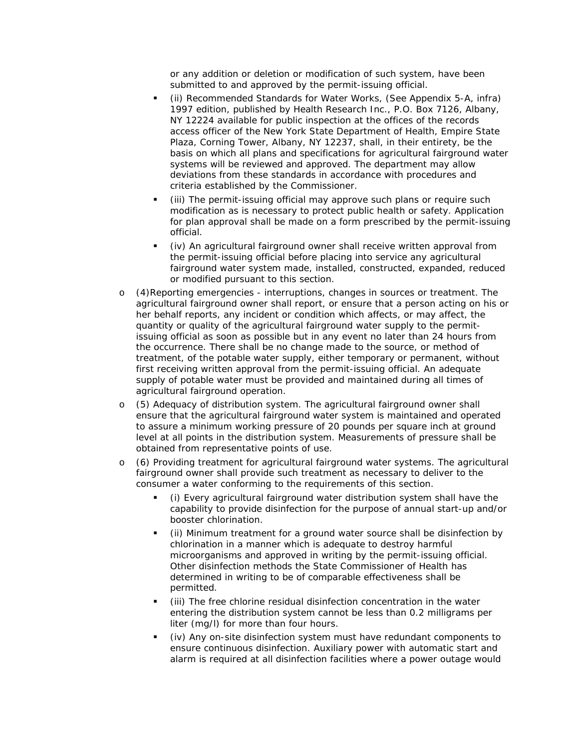or any addition or deletion or modification of such system, have been submitted to and approved by the permit-issuing official.

- (ii) Recommended Standards for Water Works, (See Appendix 5-A, infra) 1997 edition, published by Health Research Inc., P.O. Box 7126, Albany, NY 12224 available for public inspection at the offices of the records access officer of the New York State Department of Health, Empire State Plaza, Corning Tower, Albany, NY 12237, shall, in their entirety, be the basis on which all plans and specifications for agricultural fairground water systems will be reviewed and approved. The department may allow deviations from these standards in accordance with procedures and criteria established by the Commissioner.
- (iii) The permit-issuing official may approve such plans or require such modification as is necessary to protect public health or safety. Application for plan approval shall be made on a form prescribed by the permit-issuing official.
- (iv) An agricultural fairground owner shall receive written approval from the permit-issuing official before placing into service any agricultural fairground water system made, installed, constructed, expanded, reduced or modified pursuant to this section.
- o (4)Reporting emergencies interruptions, changes in sources or treatment. The agricultural fairground owner shall report, or ensure that a person acting on his or her behalf reports, any incident or condition which affects, or may affect, the quantity or quality of the agricultural fairground water supply to the permitissuing official as soon as possible but in any event no later than 24 hours from the occurrence. There shall be no change made to the source, or method of treatment, of the potable water supply, either temporary or permanent, without first receiving written approval from the permit-issuing official. An adequate supply of potable water must be provided and maintained during all times of agricultural fairground operation.
- o (5) Adequacy of distribution system. The agricultural fairground owner shall ensure that the agricultural fairground water system is maintained and operated to assure a minimum working pressure of 20 pounds per square inch at ground level at all points in the distribution system. Measurements of pressure shall be obtained from representative points of use.
- o (6) Providing treatment for agricultural fairground water systems. The agricultural fairground owner shall provide such treatment as necessary to deliver to the consumer a water conforming to the requirements of this section.
	- (i) Every agricultural fairground water distribution system shall have the capability to provide disinfection for the purpose of annual start-up and/or booster chlorination.
	- (ii) Minimum treatment for a ground water source shall be disinfection by chlorination in a manner which is adequate to destroy harmful microorganisms and approved in writing by the permit-issuing official. Other disinfection methods the State Commissioner of Health has determined in writing to be of comparable effectiveness shall be permitted.
	- (iii) The free chlorine residual disinfection concentration in the water entering the distribution system cannot be less than 0.2 milligrams per liter (mg/l) for more than four hours.
	- (iv) Any on-site disinfection system must have redundant components to ensure continuous disinfection. Auxiliary power with automatic start and alarm is required at all disinfection facilities where a power outage would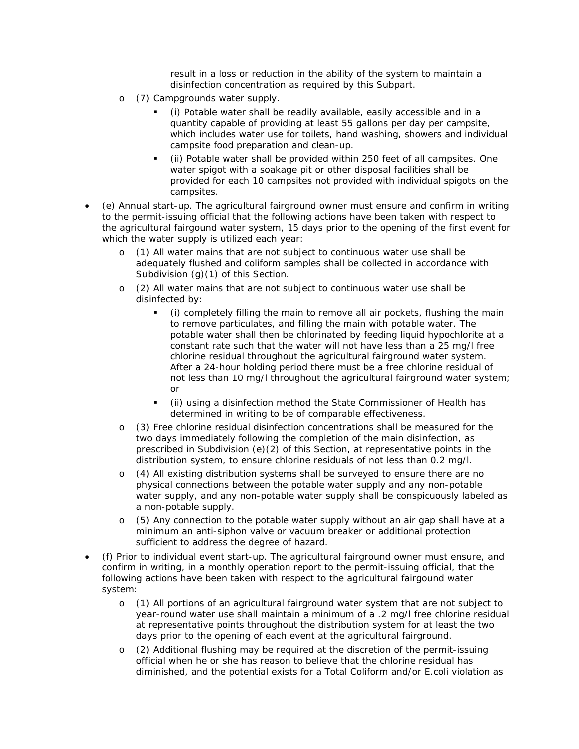result in a loss or reduction in the ability of the system to maintain a disinfection concentration as required by this Subpart.

- o (7) Campgrounds water supply.
	- (i) Potable water shall be readily available, easily accessible and in a quantity capable of providing at least 55 gallons per day per campsite, which includes water use for toilets, hand washing, showers and individual campsite food preparation and clean-up.
	- (ii) Potable water shall be provided within 250 feet of all campsites. One water spigot with a soakage pit or other disposal facilities shall be provided for each 10 campsites not provided with individual spigots on the campsites.
- (e) Annual start-up. The agricultural fairground owner must ensure and confirm in writing to the permit-issuing official that the following actions have been taken with respect to the agricultural fairgound water system, 15 days prior to the opening of the first event for which the water supply is utilized each year:
	- o (1) All water mains that are not subject to continuous water use shall be adequately flushed and coliform samples shall be collected in accordance with Subdivision (g)(1) of this Section.
	- o (2) All water mains that are not subject to continuous water use shall be disinfected by:
		- (i) completely filling the main to remove all air pockets, flushing the main to remove particulates, and filling the main with potable water. The potable water shall then be chlorinated by feeding liquid hypochlorite at a constant rate such that the water will not have less than a 25 mg/l free chlorine residual throughout the agricultural fairground water system. After a 24-hour holding period there must be a free chlorine residual of not less than 10 mg/l throughout the agricultural fairground water system; or
		- (ii) using a disinfection method the State Commissioner of Health has determined in writing to be of comparable effectiveness.
	- o (3) Free chlorine residual disinfection concentrations shall be measured for the two days immediately following the completion of the main disinfection, as prescribed in Subdivision (e)(2) of this Section, at representative points in the distribution system, to ensure chlorine residuals of not less than 0.2 mg/l.
	- o (4) All existing distribution systems shall be surveyed to ensure there are no physical connections between the potable water supply and any non-potable water supply, and any non-potable water supply shall be conspicuously labeled as a non-potable supply.
	- o (5) Any connection to the potable water supply without an air gap shall have at a minimum an anti-siphon valve or vacuum breaker or additional protection sufficient to address the degree of hazard.
- (f) Prior to individual event start-up. The agricultural fairground owner must ensure, and confirm in writing, in a monthly operation report to the permit-issuing official, that the following actions have been taken with respect to the agricultural fairgound water system:
	- o (1) All portions of an agricultural fairground water system that are not subject to year-round water use shall maintain a minimum of a .2 mg/l free chlorine residual at representative points throughout the distribution system for at least the two days prior to the opening of each event at the agricultural fairground.
	- o (2) Additional flushing may be required at the discretion of the permit-issuing official when he or she has reason to believe that the chlorine residual has diminished, and the potential exists for a Total Coliform and/or E.coli violation as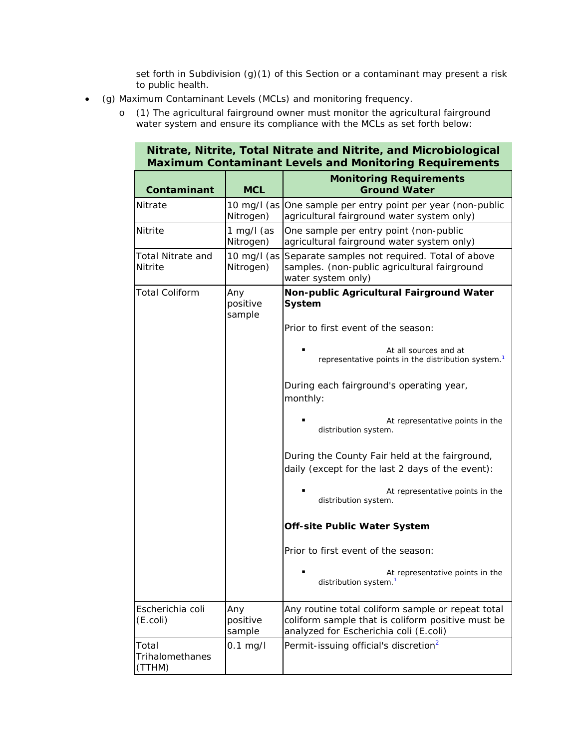set forth in Subdivision (g)(1) of this Section or a contaminant may present a risk to public health.

**Nitrate, Nitrite, Total Nitrate and Nitrite, and Microbiological** 

- (g) Maximum Contaminant Levels (MCLs) and monitoring frequency.
	- o (1) The agricultural fairground owner must monitor the agricultural fairground water system and ensure its compliance with the MCLs as set forth below:

| $\mathbf{u}$ and $\mathbf{u}$ and $\mathbf{u}$ and $\mathbf{u}$ and $\mathbf{u}$ and $\mathbf{u}$ and $\mathbf{u}$ and $\mathbf{u}$ and $\mathbf{u}$<br><b>Maximum Contaminant Levels and Monitoring Requirements</b> |                           |                                                                                                                                                  |  |
|-----------------------------------------------------------------------------------------------------------------------------------------------------------------------------------------------------------------------|---------------------------|--------------------------------------------------------------------------------------------------------------------------------------------------|--|
| Contaminant                                                                                                                                                                                                           | <b>MCL</b>                | <b>Monitoring Requirements</b><br><b>Ground Water</b>                                                                                            |  |
| <b>Nitrate</b>                                                                                                                                                                                                        | Nitrogen)                 | 10 mg/l (as One sample per entry point per year (non-public<br>agricultural fairground water system only)                                        |  |
| <b>Nitrite</b>                                                                                                                                                                                                        | 1 mg/l (as<br>Nitrogen)   | One sample per entry point (non-public<br>agricultural fairground water system only)                                                             |  |
| <b>Total Nitrate and</b><br>Nitrite                                                                                                                                                                                   | 10 mg/l (as<br>Nitrogen)  | Separate samples not required. Total of above<br>samples. (non-public agricultural fairground<br>water system only)                              |  |
| <b>Total Coliform</b>                                                                                                                                                                                                 | Any<br>positive<br>sample | Non-public Agricultural Fairground Water<br>System                                                                                               |  |
|                                                                                                                                                                                                                       |                           | Prior to first event of the season:                                                                                                              |  |
|                                                                                                                                                                                                                       |                           | At all sources and at<br>representative points in the distribution system. <sup>1</sup>                                                          |  |
|                                                                                                                                                                                                                       |                           | During each fairground's operating year,<br>monthly:                                                                                             |  |
|                                                                                                                                                                                                                       |                           | At representative points in the<br>distribution system.                                                                                          |  |
|                                                                                                                                                                                                                       |                           | During the County Fair held at the fairground,<br>daily (except for the last 2 days of the event):                                               |  |
|                                                                                                                                                                                                                       |                           | At representative points in the<br>distribution system.                                                                                          |  |
|                                                                                                                                                                                                                       |                           | <b>Off-site Public Water System</b>                                                                                                              |  |
|                                                                                                                                                                                                                       |                           | Prior to first event of the season:                                                                                                              |  |
|                                                                                                                                                                                                                       |                           | At representative points in the<br>▪<br>distribution system. <sup>1</sup>                                                                        |  |
| Escherichia coli<br>$(E.$ coli)                                                                                                                                                                                       | Any<br>positive<br>sample | Any routine total coliform sample or repeat total<br>coliform sample that is coliform positive must be<br>analyzed for Escherichia coli (E.coli) |  |
| Total<br><b>Trihalomethanes</b><br>(TTHM)                                                                                                                                                                             | $0.1$ mg/l                | Permit-issuing official's discretion <sup>2</sup>                                                                                                |  |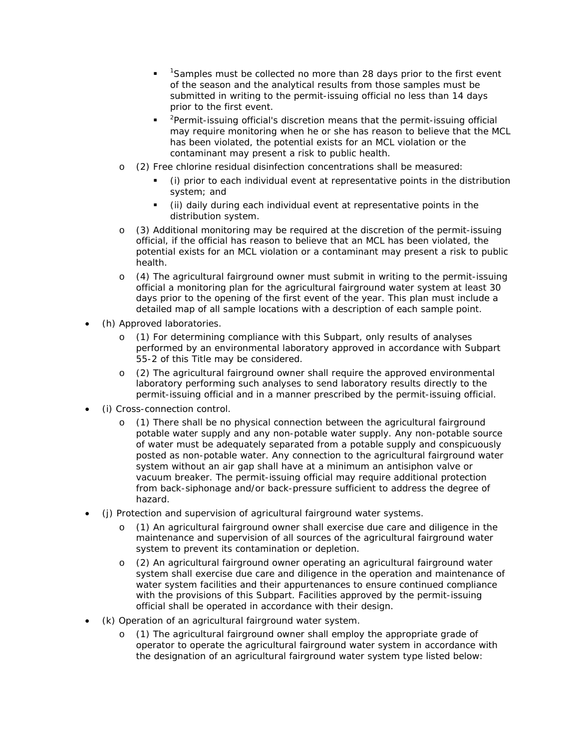- **Tamples must be collected no more than 28 days prior to the first event** of the season and the analytical results from those samples must be submitted in writing to the permit-issuing official no less than 14 days prior to the first event.
- $\blacksquare$  <sup>2</sup> Permit-issuing official's discretion means that the permit-issuing official may require monitoring when he or she has reason to believe that the MCL has been violated, the potential exists for an MCL violation or the contaminant may present a risk to public health.
- o (2) Free chlorine residual disinfection concentrations shall be measured:
	- (i) prior to each individual event at representative points in the distribution system; and
	- (ii) daily during each individual event at representative points in the distribution system.
- o (3) Additional monitoring may be required at the discretion of the permit-issuing official, if the official has reason to believe that an MCL has been violated, the potential exists for an MCL violation or a contaminant may present a risk to public health.
- o (4) The agricultural fairground owner must submit in writing to the permit-issuing official a monitoring plan for the agricultural fairground water system at least 30 days prior to the opening of the first event of the year. This plan must include a detailed map of all sample locations with a description of each sample point.
- (h) Approved laboratories.
	- o (1) For determining compliance with this Subpart, only results of analyses performed by an environmental laboratory approved in accordance with Subpart 55-2 of this Title may be considered.
	- o (2) The agricultural fairground owner shall require the approved environmental laboratory performing such analyses to send laboratory results directly to the permit-issuing official and in a manner prescribed by the permit-issuing official.
- (i) Cross-connection control.
	- o (1) There shall be no physical connection between the agricultural fairground potable water supply and any non-potable water supply. Any non-potable source of water must be adequately separated from a potable supply and conspicuously posted as non-potable water. Any connection to the agricultural fairground water system without an air gap shall have at a minimum an antisiphon valve or vacuum breaker. The permit-issuing official may require additional protection from back-siphonage and/or back-pressure sufficient to address the degree of hazard.
- (j) Protection and supervision of agricultural fairground water systems.
	- o (1) An agricultural fairground owner shall exercise due care and diligence in the maintenance and supervision of all sources of the agricultural fairground water system to prevent its contamination or depletion.
	- o (2) An agricultural fairground owner operating an agricultural fairground water system shall exercise due care and diligence in the operation and maintenance of water system facilities and their appurtenances to ensure continued compliance with the provisions of this Subpart. Facilities approved by the permit-issuing official shall be operated in accordance with their design.
- (k) Operation of an agricultural fairground water system.
	- o (1) The agricultural fairground owner shall employ the appropriate grade of operator to operate the agricultural fairground water system in accordance with the designation of an agricultural fairground water system type listed below: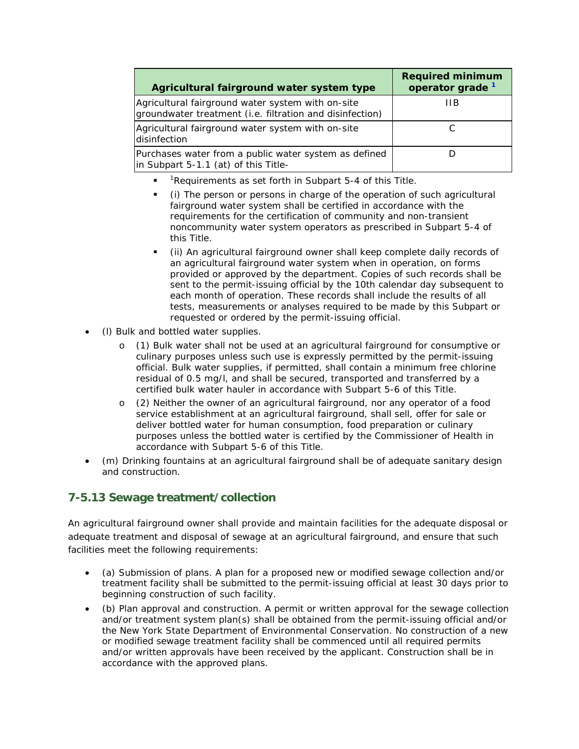| Agricultural fairground water system type                                                                     | <b>Required minimum</b><br>operator grade <sup>1</sup> |
|---------------------------------------------------------------------------------------------------------------|--------------------------------------------------------|
| Agricultural fairground water system with on-site<br>groundwater treatment (i.e. filtration and disinfection) | ШB                                                     |
| Agricultural fairground water system with on-site<br>disinfection                                             |                                                        |
| Purchases water from a public water system as defined<br>in Subpart 5-1.1 (at) of this Title-                 |                                                        |

- **Part 1** Requirements as set forth in Subpart 5-4 of this Title.
- (i) The person or persons in charge of the operation of such agricultural fairground water system shall be certified in accordance with the requirements for the certification of community and non-transient noncommunity water system operators as prescribed in Subpart 5-4 of this Title.
- (ii) An agricultural fairground owner shall keep complete daily records of an agricultural fairground water system when in operation, on forms provided or approved by the department. Copies of such records shall be sent to the permit-issuing official by the 10th calendar day subsequent to each month of operation. These records shall include the results of all tests, measurements or analyses required to be made by this Subpart or requested or ordered by the permit-issuing official.
- (l) Bulk and bottled water supplies.
	- o (1) Bulk water shall not be used at an agricultural fairground for consumptive or culinary purposes unless such use is expressly permitted by the permit-issuing official. Bulk water supplies, if permitted, shall contain a minimum free chlorine residual of 0.5 mg/l, and shall be secured, transported and transferred by a certified bulk water hauler in accordance with Subpart 5-6 of this Title.
	- o (2) Neither the owner of an agricultural fairground, nor any operator of a food service establishment at an agricultural fairground, shall sell, offer for sale or deliver bottled water for human consumption, food preparation or culinary purposes unless the bottled water is certified by the Commissioner of Health in accordance with Subpart 5-6 of this Title.
- (m) Drinking fountains at an agricultural fairground shall be of adequate sanitary design and construction.

## **7-5.13 Sewage treatment/collection**

An agricultural fairground owner shall provide and maintain facilities for the adequate disposal or adequate treatment and disposal of sewage at an agricultural fairground, and ensure that such facilities meet the following requirements:

- (a) Submission of plans. A plan for a proposed new or modified sewage collection and/or treatment facility shall be submitted to the permit-issuing official at least 30 days prior to beginning construction of such facility.
- (b) Plan approval and construction. A permit or written approval for the sewage collection and/or treatment system plan(s) shall be obtained from the permit-issuing official and/or the New York State Department of Environmental Conservation. No construction of a new or modified sewage treatment facility shall be commenced until all required permits and/or written approvals have been received by the applicant. Construction shall be in accordance with the approved plans.